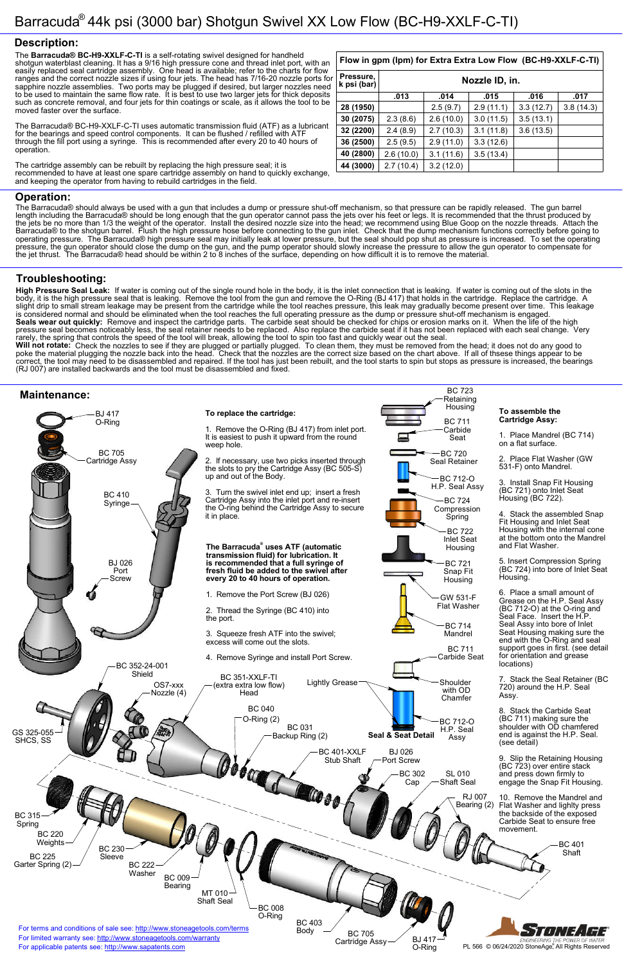BC 723

#### **Description:**

#### **Operation:**

#### **Troubleshooting:**

#### **Maintenance:**

The **Barracuda® BC-H9-XXLF-C-TI** is a self-rotating swivel designed for handheld shotgun waterblast cleaning. It has a 9/16 high pressure cone and thread inlet port, with an easily replaced seal cartridge assembly. One head is available; refer to the charts for flow ranges and the correct nozzle sizes if using four jets. The head has 7/16-20 nozzle ports for sapphire nozzle assemblies. Two ports may be plugged if desired, but larger nozzles need to be used to maintain the same flow rate. It is best to use two larger jets for thick deposits such as concrete removal, and four jets for thin coatings or scale, as it allows the tool to be moved faster over the surface.

The Barracuda® BC-H9-XXLF-C-TI uses automatic transmission fluid (ATF) as a lubricant for the bearings and speed control components. It can be flushed / refilled with ATF through the fill port using a syringe. This is recommended after every 20 to 40 hours of operation.

The cartridge assembly can be rebuilt by replacing the high pressure seal; it is recommended to have at least one spare cartridge assembly on hand to quickly exchange, and keeping the operator from having to rebuild cartridges in the field.

The Barracuda® should always be used with a gun that includes a dump or pressure shut-off mechanism, so that pressure can be rapidly released. The gun barrel length including the Barracuda® should be long enough that the gun operator cannot pass the jets over his feet or legs. It is recommended that the thrust produced by the jets be no more than 1/3 the weight of the operator. Install the desired nozzle size into the head; we recommend using Blue Goop on the nozzle threads. Attach the Barracuda® to the shotgun barrel. Flush the high pressure hose before connecting to the gun inlet. Check that the dump mechanism functions correctly before going to operating pressure. The Barracuda® high pressure seal may initially leak at lower pressure, but the seal should pop shut as pressure is increased. To set the operating pressure, the gun operator should close the dump on the gun, and the pump operator should slowly increase the pressure to allow the gun operator to compensate for the jet thrust. The Barracuda® head should be within 2 to 8 inches of the surface, depending on how difficult it is to remove the material.



**High Pressure Seal Leak:** If water is coming out of the single round hole in the body, it is the inlet connection that is leaking. If water is coming out of the slots in the body, it is the high pressure seal that is leaking. Remove the tool from the gun and remove the O-Ring (BJ 417) that holds in the cartridge. Replace the cartridge. A slight drip to small stream leakage may be present from the cartridge while the tool reaches pressure, this leak may gradually become present over time. This leakage is considered normal and should be eliminated when the tool reaches the full operating pressure as the dump or pressure shut-off mechanism is engaged. **Seals wear out quickly:** Remove and inspect the cartridge parts. The carbide seat should be checked for chips or erosion marks on it. When the life of the high pressure seal becomes noticeably less, the seal retainer needs to be replaced. Also replace the carbide seat if it has not been replaced with each seal change. Very rarely, the spring that controls the speed of the tool will break, allowing the tool to spin too fast and quickly wear out the seal.

**Will not rotate:** Check the nozzles to see if they are plugged or partially plugged. To clean them, they must be removed from the head; it does not do any good to poke the material plugging the nozzle back into the head. Check that the nozzles are the correct size based on the chart above. If all of thsese things appear to be correct, the tool may need to be disassembled and repaired. If the tool has just been rebuilt, and the tool starts to spin but stops as pressure is increased, the bearings (RJ 007) are installed backwards and the tool must be disassembled and fixed.

## **Flow in gpm (lpm) for Extra Extra Low Flow (BC-H9-XXLF-C-TI)**

| Pressure,<br>k psi (bar) | Nozzle ID, in. |           |           |           |           |
|--------------------------|----------------|-----------|-----------|-----------|-----------|
|                          | .013           | .014      | .015      | .016      | .017      |
| 28 (1950)                |                | 2.5(9.7)  | 2.9(11.1) | 3.3(12.7) | 3.8(14.3) |
| 30 (2075)                | 2.3(8.6)       | 2.6(10.0) | 3.0(11.5) | 3.5(13.1) |           |
| 32 (2200)                | 2.4(8.9)       | 2.7(10.3) | 3.1(11.8) | 3.6(13.5) |           |
| 36 (2500)                | 2.5(9.5)       | 2.9(11.0) | 3.3(12.6) |           |           |
| 40 (2800)                | 2.6(10.0)      | 3.1(11.6) | 3.5(13.4) |           |           |
| 44 (3000)                | 2.7(10.4)      | 3.2(12.0) |           |           |           |